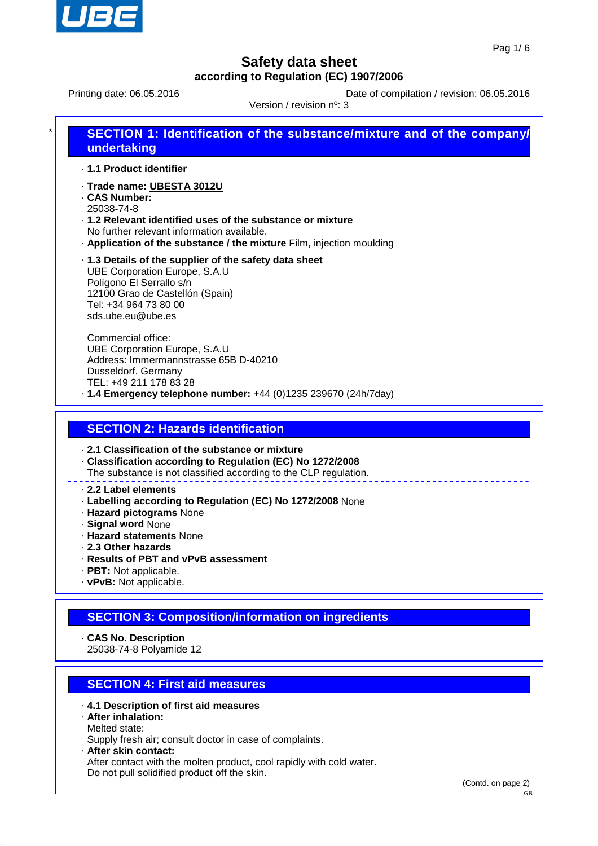

Printing date: 06.05.2016 **Date of compilation / revision: 06.05.2016** 

Version / revision nº: 3

| $\star$ | <b>SECTION 1: Identification of the substance/mixture and of the company/</b><br>undertaking                          |
|---------|-----------------------------------------------------------------------------------------------------------------------|
|         | ⋅ 1.1 Product identifier                                                                                              |
|         | ⋅Trade name: UBESTA 3012U<br>. CAS Number:<br>25038-74-8<br>.1.2 Relevant identified uses of the substance or mixture |
|         | No further relevant information available.<br>. Application of the substance / the mixture Film, injection moulding   |

· **1.3 Details of the supplier of the safety data sheet** UBE Corporation Europe, S.A.U Polígono El Serrallo s/n 12100 Grao de Castellón (Spain) Tel: +34 964 73 80 00 sds.ube.eu@ube.es

Commercial office: UBE Corporation Europe, S.A.U Address: Immermannstrasse 65B D-40210 Dusseldorf. Germany TEL: +49 211 178 83 28 · **1.4 Emergency telephone number:** +44 (0)1235 239670 (24h/7day)

## **SECTION 2: Hazards identification**

· **2.1 Classification of the substance or mixture**

- · **Classification according to Regulation (EC) No 1272/2008**
- The substance is not classified according to the CLP regulation.

#### · **2.2 Label elements**

- · **Labelling according to Regulation (EC) No 1272/2008** None
- · **Hazard pictograms** None
- · **Signal word** None
- · **Hazard statements** None
- · **2.3 Other hazards**
- · **Results of PBT and vPvB assessment**
- · **PBT:** Not applicable.
- · **vPvB:** Not applicable.

## **SECTION 3: Composition/information on ingredients**

· **CAS No. Description**

25038-74-8 Polyamide 12

## **SECTION 4: First aid measures**

- · **4.1 Description of first aid measures**
- · **After inhalation:** Melted state:

Supply fresh air; consult doctor in case of complaints.

· **After skin contact:**

After contact with the molten product, cool rapidly with cold water. Do not pull solidified product off the skin.

(Contd. on page 2)

GB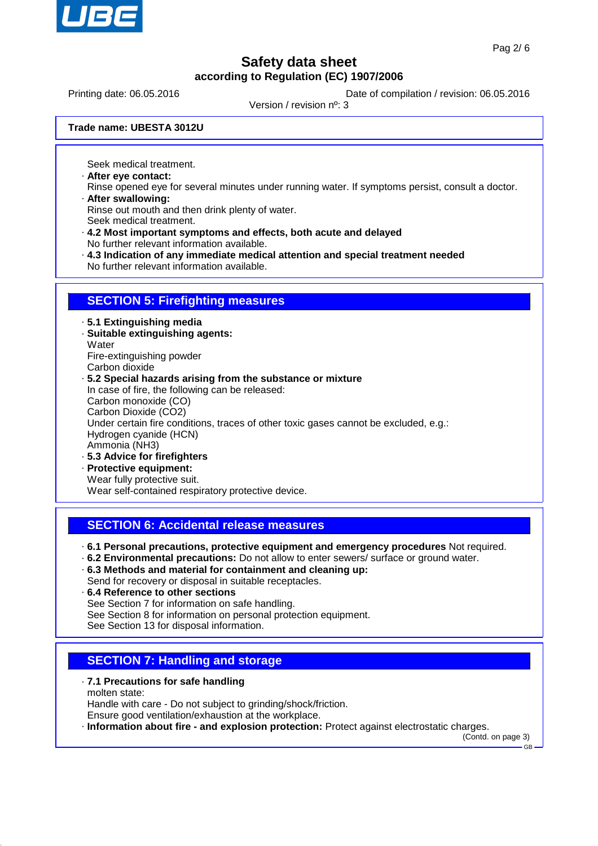

Printing date: 06.05.2016 **Date of compilation / revision: 06.05.2016** 

Version / revision nº: 3

**Trade name: UBESTA 3012U**

Seek medical treatment.

- · **After eye contact:**
- Rinse opened eye for several minutes under running water. If symptoms persist, consult a doctor. · **After swallowing:**

Rinse out mouth and then drink plenty of water.

- Seek medical treatment.
- · **4.2 Most important symptoms and effects, both acute and delayed** No further relevant information available.
- · **4.3 Indication of any immediate medical attention and special treatment needed**
- No further relevant information available.

### **SECTION 5: Firefighting measures**

- · **5.1 Extinguishing media**
- · **Suitable extinguishing agents: Water**
- Fire-extinguishing powder
- Carbon dioxide

### · **5.2 Special hazards arising from the substance or mixture**

In case of fire, the following can be released: Carbon monoxide (CO) Carbon Dioxide (CO2) Under certain fire conditions, traces of other toxic gases cannot be excluded, e.g.: Hydrogen cyanide (HCN)

- Ammonia (NH3)
- · **5.3 Advice for firefighters**
- · **Protective equipment:** Wear fully protective suit.

Wear self-contained respiratory protective device.

## **SECTION 6: Accidental release measures**

- · **6.1 Personal precautions, protective equipment and emergency procedures** Not required.
- · **6.2 Environmental precautions:** Do not allow to enter sewers/ surface or ground water.
- · **6.3 Methods and material for containment and cleaning up:** Send for recovery or disposal in suitable receptacles.
- · **6.4 Reference to other sections**
- See Section 7 for information on safe handling.
- See Section 8 for information on personal protection equipment.
- See Section 13 for disposal information.

## **SECTION 7: Handling and storage**

- · **7.1 Precautions for safe handling** molten state:
- Handle with care Do not subject to grinding/shock/friction. Ensure good ventilation/exhaustion at the workplace.
- · **Information about fire and explosion protection:** Protect against electrostatic charges.

(Contd. on page 3) GB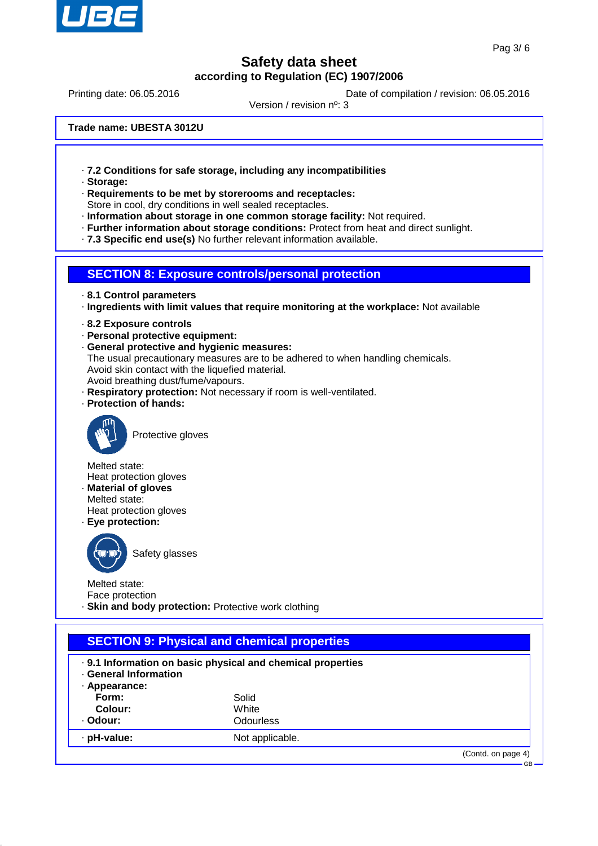

Printing date: 06.05.2016 **Date of compilation / revision: 06.05.2016** 

Version / revision nº: 3

**Trade name: UBESTA 3012U**

- · **7.2 Conditions for safe storage, including any incompatibilities**
- · **Storage:**
- · **Requirements to be met by storerooms and receptacles:** Store in cool, dry conditions in well sealed receptacles.
- 
- · **Information about storage in one common storage facility:** Not required.
- · **Further information about storage conditions:** Protect from heat and direct sunlight.
- · **7.3 Specific end use(s)** No further relevant information available.

#### **SECTION 8: Exposure controls/personal protection**

- · **8.1 Control parameters**
- · **Ingredients with limit values that require monitoring at the workplace:** Not available
- · **8.2 Exposure controls**
- · **Personal protective equipment:**
- · **General protective and hygienic measures:**
- The usual precautionary measures are to be adhered to when handling chemicals. Avoid skin contact with the liquefied material.
- Avoid breathing dust/fume/vapours.
- · **Respiratory protection:** Not necessary if room is well-ventilated.
- · **Protection of hands:**



Protective gloves

Melted state:

- Heat protection gloves · **Material of gloves**
- Melted state:
- Heat protection gloves
- · **Eye protection:**



Safety glasses

Melted state: Face protection

· **Skin and body protection:** Protective work clothing

| . 9.1 Information on basic physical and chemical properties<br><b>General Information</b><br>· Appearance: |                 |  |  |  |
|------------------------------------------------------------------------------------------------------------|-----------------|--|--|--|
| Form:                                                                                                      | Solid           |  |  |  |
| Colour:                                                                                                    | White           |  |  |  |
| · Odour:                                                                                                   | Odourless       |  |  |  |
| · pH-value:                                                                                                | Not applicable. |  |  |  |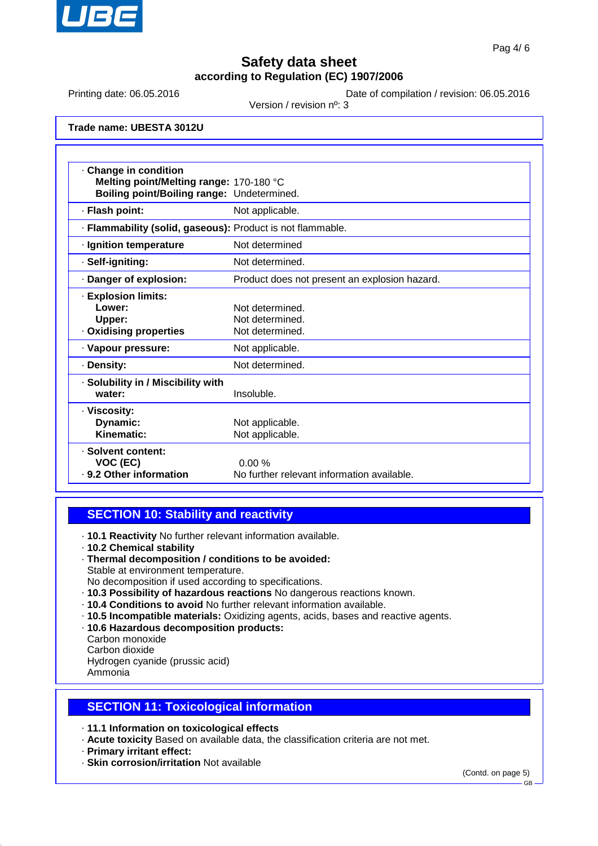

Printing date: 06.05.2016 **Date of compilation / revision: 06.05.2016** 

Version / revision nº: 3

**Trade name: UBESTA 3012U**

| Change in condition                                        |                                               |  |  |
|------------------------------------------------------------|-----------------------------------------------|--|--|
| Melting point/Melting range: 170-180 °C                    |                                               |  |  |
| Boiling point/Boiling range: Undetermined.                 |                                               |  |  |
| · Flash point:                                             | Not applicable.                               |  |  |
| · Flammability (solid, gaseous): Product is not flammable. |                                               |  |  |
| · Ignition temperature                                     | Not determined                                |  |  |
| · Self-igniting:                                           | Not determined.                               |  |  |
| · Danger of explosion:                                     | Product does not present an explosion hazard. |  |  |
| · Explosion limits:                                        |                                               |  |  |
| Lower:                                                     | Not determined.                               |  |  |
| Upper:                                                     | Not determined.                               |  |  |
| · Oxidising properties                                     | Not determined.                               |  |  |
| · Vapour pressure:                                         | Not applicable.                               |  |  |
| · Density:                                                 | Not determined.                               |  |  |
| · Solubility in / Miscibility with                         |                                               |  |  |
| water:                                                     | Insoluble.                                    |  |  |
| · Viscosity:                                               |                                               |  |  |
| Dynamic:                                                   | Not applicable.                               |  |  |
| Kinematic:                                                 | Not applicable.                               |  |  |
| · Solvent content:                                         |                                               |  |  |
| VOC (EC)                                                   | 0.00%                                         |  |  |
| . 9.2 Other information                                    | No further relevant information available.    |  |  |

### **SECTION 10: Stability and reactivity**

- · **10.1 Reactivity** No further relevant information available.
- · **10.2 Chemical stability**
- · **Thermal decomposition / conditions to be avoided:**
- Stable at environment temperature.
- No decomposition if used according to specifications.
- · **10.3 Possibility of hazardous reactions** No dangerous reactions known.
- · **10.4 Conditions to avoid** No further relevant information available.
- · **10.5 Incompatible materials:** Oxidizing agents, acids, bases and reactive agents.
- · **10.6 Hazardous decomposition products:**
- Carbon monoxide
- Carbon dioxide

Hydrogen cyanide (prussic acid)

Ammonia

## **SECTION 11: Toxicological information**

- · **11.1 Information on toxicological effects**
- · **Acute toxicity** Based on available data, the classification criteria are not met.
- · **Primary irritant effect:**
- · **Skin corrosion/irritation** Not available

(Contd. on page 5)

GB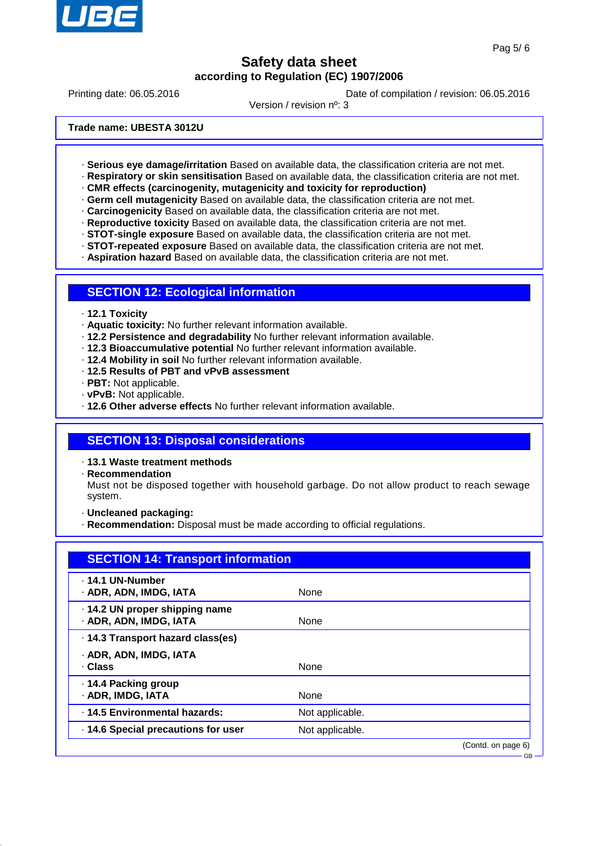

GB

## **Safety data sheet according to Regulation (EC) 1907/2006**

Printing date: 06.05.2016 **Date of compilation / revision: 06.05.2016** 

Version / revision nº: 3

**Trade name: UBESTA 3012U**

- · **Serious eye damage/irritation** Based on available data, the classification criteria are not met.
- · **Respiratory or skin sensitisation** Based on available data, the classification criteria are not met.
- · **CMR effects (carcinogenity, mutagenicity and toxicity for reproduction)**
- · **Germ cell mutagenicity** Based on available data, the classification criteria are not met.
- · **Carcinogenicity** Based on available data, the classification criteria are not met.
- · **Reproductive toxicity** Based on available data, the classification criteria are not met.
- · **STOT-single exposure** Based on available data, the classification criteria are not met.
- · **STOT-repeated exposure** Based on available data, the classification criteria are not met.
- · **Aspiration hazard** Based on available data, the classification criteria are not met.

### **SECTION 12: Ecological information**

- · **12.1 Toxicity**
- · **Aquatic toxicity:** No further relevant information available.
- · **12.2 Persistence and degradability** No further relevant information available.
- · **12.3 Bioaccumulative potential** No further relevant information available.
- · **12.4 Mobility in soil** No further relevant information available.
- · **12.5 Results of PBT and vPvB assessment**
- · **PBT:** Not applicable.
- · **vPvB:** Not applicable.
- · **12.6 Other adverse effects** No further relevant information available.

### **SECTION 13: Disposal considerations**

· **13.1 Waste treatment methods**

· **Recommendation**

Must not be disposed together with household garbage. Do not allow product to reach sewage system.

· **Uncleaned packaging:**

· **Recommendation:** Disposal must be made according to official regulations.

| <b>SECTION 14: Transport information</b>                |                 |                    |
|---------------------------------------------------------|-----------------|--------------------|
| . 14.1 UN-Number<br>· ADR, ADN, IMDG, IATA              | <b>None</b>     |                    |
| .14.2 UN proper shipping name<br>· ADR, ADN, IMDG, IATA | None            |                    |
| · 14.3 Transport hazard class(es)                       |                 |                    |
| · ADR, ADN, IMDG, IATA<br>· Class                       | None            |                    |
| ⋅ 14.4 Packing group<br>· ADR, IMDG, IATA               | <b>None</b>     |                    |
| · 14.5 Environmental hazards:                           | Not applicable. |                    |
| 14.6 Special precautions for user                       | Not applicable. |                    |
|                                                         |                 | (Contd. on page 6) |